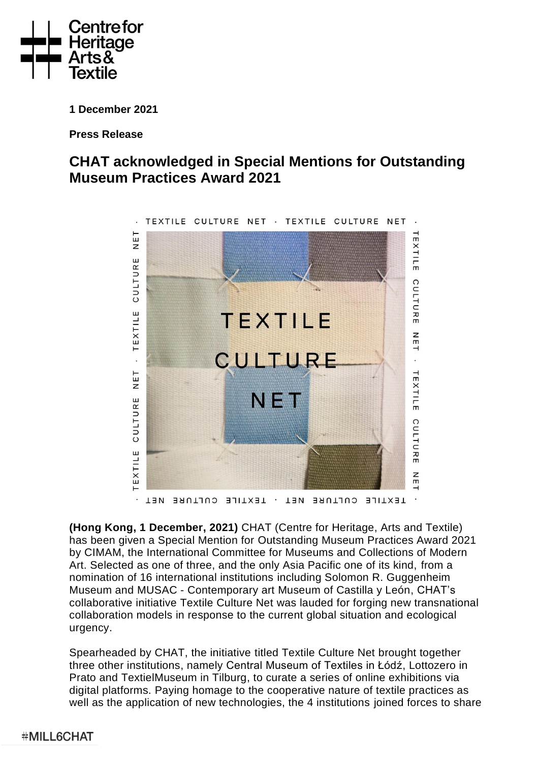

**1 December 2021**

**Press Release** 

# **CHAT acknowledged in Special Mentions for Outstanding Museum Practices Award 2021**



**(Hong Kong, 1 December, 2021)** CHAT (Centre for Heritage, Arts and Textile) has been given a Special Mention for Outstanding Museum Practices Award 2021 by CIMAM, the International Committee for Museums and Collections of Modern Art. Selected as one of three, and the only Asia Pacific one of its kind, from a nomination of 16 international institutions including Solomon R. Guggenheim Museum and MUSAC - Contemporary art Museum of Castilla y León, CHAT's collaborative initiative Textile Culture Net was lauded for forging new transnational collaboration models in response to the current global situation and ecological urgency.

Spearheaded by CHAT, the initiative titled Textile Culture Net brought together three other institutions, namely Central Museum of Textiles in Łódź, Lottozero in Prato and TextielMuseum in Tilburg, to curate a series of online exhibitions via digital platforms. Paying homage to the cooperative nature of textile practices as well as the application of new technologies, the 4 institutions joined forces to share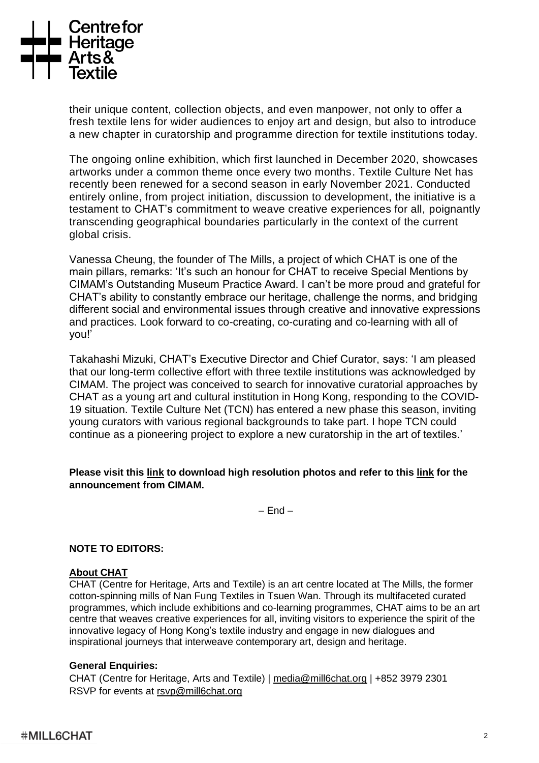

their unique content, collection objects, and even manpower, not only to offer a fresh textile lens for wider audiences to enjoy art and design, but also to introduce a new chapter in curatorship and programme direction for textile institutions today.

The ongoing online exhibition, which first launched in December 2020, showcases artworks under a common theme once every two months. Textile Culture Net has recently been renewed for a second season in early November 2021. Conducted entirely online, from project initiation, discussion to development, the initiative is a testament to CHAT's commitment to weave creative experiences for all, poignantly transcending geographical boundaries particularly in the context of the current global crisis.

Vanessa Cheung, the founder of The Mills, a project of which CHAT is one of the main pillars, remarks: 'It's such an honour for CHAT to receive Special Mentions by CIMAM's Outstanding Museum Practice Award. I can't be more proud and grateful for CHAT's ability to constantly embrace our heritage, challenge the norms, and bridging different social and environmental issues through creative and innovative expressions and practices. Look forward to co-creating, co-curating and co-learning with all of you!'

Takahashi Mizuki, CHAT's Executive Director and Chief Curator, says: 'I am pleased that our long-term collective effort with three textile institutions was acknowledged by CIMAM. The project was conceived to search for innovative curatorial approaches by CHAT as a young art and cultural institution in Hong Kong, responding to the COVID-19 situation. Textile Culture Net (TCN) has entered a new phase this season, inviting young curators with various regional backgrounds to take part. I hope TCN could continue as a pioneering project to explore a new curatorship in the art of textiles.'

## **Please visit this [link](https://drive.google.com/drive/folders/1sENZnizYUUqxY-SH7pZRKL0n2E9KLNTe?usp=sharing) to download high resolution photos and refer to this [link](https://cimam.org/news-archive/cimam-acknowledges-the-queens-museum-new-york-with-the-outstanding-museum-practices-award-2021/) for the announcement from CIMAM.**

 $-$  End  $-$ 

## **NOTE TO EDITORS:**

## **About CHAT**

CHAT (Centre for Heritage, Arts and Textile) is an art centre located at The Mills, the former cotton-spinning mills of Nan Fung Textiles in Tsuen Wan. Through its multifaceted curated programmes, which include exhibitions and co-learning programmes, CHAT aims to be an art centre that weaves creative experiences for all, inviting visitors to experience the spirit of the innovative legacy of Hong Kong's textile industry and engage in new dialogues and inspirational journeys that interweave contemporary art, design and heritage.

## **General Enquiries:**

CHAT (Centre for Heritage, Arts and Textile) | [media@mill6chat.org](mailto:media@mill6chat.org) | +852 3979 2301 RSVP for events at [rsvp@mill6chat.org](mailto:rsvp@mill6chat.org)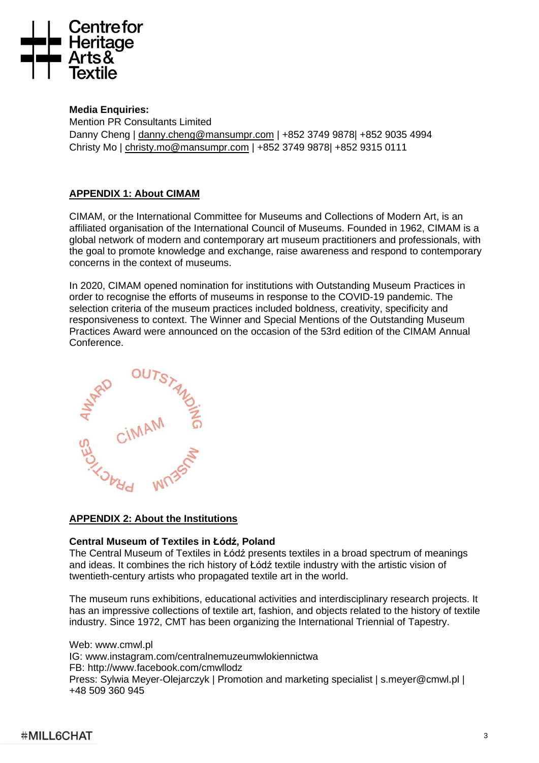

## **Media Enquiries:**

Mention PR Consultants Limited Danny Cheng | [danny.cheng@mansumpr.com](mailto:danny.cheng@mansumpr.com) | +852 3749 9878| +852 9035 4994 Christy Mo | [christy.mo@mansumpr.com](mailto:christy.mo@mansumpr.com) | +852 3749 9878| +852 9315 0111

## **APPENDIX 1: About CIMAM**

CIMAM, or the International Committee for Museums and Collections of Modern Art, is an affiliated organisation of the International Council of Museums. Founded in 1962, CIMAM is a global network of modern and contemporary art museum practitioners and professionals, with the goal to promote knowledge and exchange, raise awareness and respond to contemporary concerns in the context of museums.

In 2020, CIMAM opened nomination for institutions with Outstanding Museum Practices in order to recognise the efforts of museums in response to the COVID-19 pandemic. The selection criteria of the museum practices included boldness, creativity, specificity and responsiveness to context. The Winner and Special Mentions of the Outstanding Museum Practices Award were announced on the occasion of the 53rd edition of the CIMAM Annual Conference.



## **APPENDIX 2: About the Institutions**

## **Central Museum of Textiles in Łódź, Poland**

The Central Museum of Textiles in Łódź presents textiles in a broad spectrum of meanings and ideas. It combines the rich history of Łódź textile industry with the artistic vision of twentieth-century artists who propagated textile art in the world.

The museum runs exhibitions, educational activities and interdisciplinary research projects. It has an impressive collections of textile art, fashion, and objects related to the history of textile industry. Since 1972, CMT has been organizing the International Triennial of Tapestry.

Web: www.cmwl.pl IG: www.instagram.com/centralnemuzeumwlokiennictwa FB: http://www.facebook.com/cmwllodz Press: Sylwia Meyer-Olejarczyk | Promotion and marketing specialist | s.meyer@cmwl.pl | +48 509 360 945

## **#MILL6CHAT**